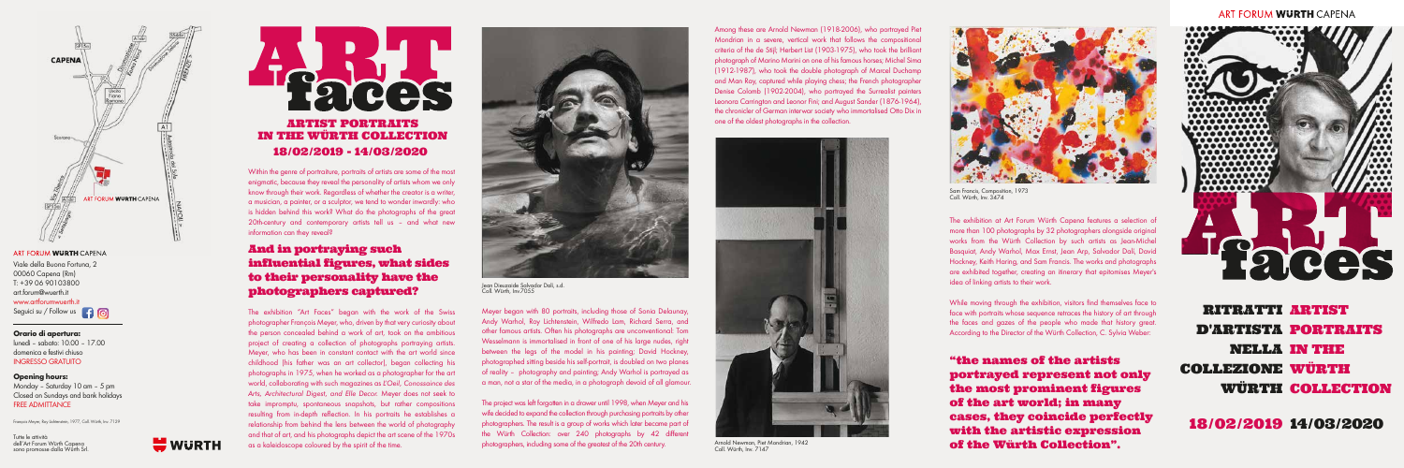

### ART FORUM WURTH CAPENA

Tutte le attività dell'Art Forum Würth Capena sono promosse dalla Würth Srl.



François Meyer, Roy Lichtenstein, 1977, Coll. Würth, Inv. 7129

Within the genre of portraiture, portraits of artists are some of the most enigmatic, because they reveal the personality of artists whom we only know through their work. Regardless of whether the creator is a writer, a musician, a painter, or a sculptor, we tend to wonder inwardly: who is hidden behind this work? What do the photographs of the great 20th-century and contemporary artists tell us – and what new information can they reveal?

# And in portraying such influential figures, what sides to their personality have the photographers captured?

"the names of the artists portrayed represent not only the most prominent figures of the art world; in many cases, they coincide perfectly with the artistic expression of the Würth Collection".

### ART FORUM WURTH CAPENA



Meyer began with 80 portraits, including those of Sonia Delaunay, Andy Warhol, Roy Lichtenstein, Wilfredo Lam, Richard Serra, and other famous artists. Often his photographs are unconventional: Tom Wesselmann is immortalised in front of one of his large nudes, right between the legs of the model in his painting; David Hockney, photographed sitting beside his self-portrait, is doubled on two planes of reality – photography and painting; Andy Warhol is portrayed as a man, not a star of the media, in a photograph devoid of all glamour. **Orario di apertura:** the person concealed behind a work of art, took on the ambitious other famous artists. Often his photographs are unconventional: Tom **According to the Director of the Würth Collection**, C. Sylvia Webe

> The project was left forgotten in a drawer until 1998, when Meyer and his wife decided to expand the collection through purchasing portraits by other photographers. The result is a group of works which later became part of the Würth Collection: over 240 photographs by 42 different photographers, including some of the greatest of the 20th century.

The exhibition "Art Faces" began with the work of the Swiss photographer François Meyer, who, driven by that very curiosity about the person concealed behind a work of art, took on the ambitious project of creating a collection of photographs portraying artists. Meyer, who has been in constant contact with the art world since childhood (his father was an art collector), began collecting his photographs in 1975, when he worked as a photographer for the art world, collaborating with such magazines as *L'Oeil, Conossaince des Arts, Architectural Digest, and Elle Decor.* Meyer does not seek to take impromptu, spontaneous snapshots, but rather compositions resulting from in-depth reflection. In his portraits he establishes a relationship from behind the lens between the world of photography and that of art, and his photographs depict the art scene of the 1970s as a kaleidoscope coloured by the spirit of the time.



Sam Francis, Composition, 1973 Coll. Würth, Inv. 3474

Viale della Buona Fortuna, 2 00060 Capena (Rm) T: +39 06 90103800 art.forum@wuerth.it www.artforumwuerth.it Seguici su / Follow us **4 6** 

Among these are Arnold Newman (1918-2006), who portrayed Piet Mondrian in a severe, vertical work that follows the compositional criteria of the de Stijl; Herbert List (1903-1975), who took the brilliant photograph of Marino Marini on one of his famous horses; Michel Sima (1912-1987), who took the double photograph of Marcel Duchamp and Man Ray, captured while playing chess; the French photographer Denise Colomb (1902-2004), who portrayed the Surrealist painters Leonora Carrington and Leonor Fini; and August Sander (1876-1964), the chronicler of German interwar society who immortalised Otto Dix in one of the oldest photographs in the collection.

18/02/2019 14/03/2020

RITRATTI ARTIST D'ARTISTA PORTRAITS NELLA IN THE COLLEZIONE WÜRTH WÜRTH COLLECTION



Arnold Newman, Piet Mondrian, 1942 Coll. Würth, Inv. 7147



Jean Dieuzaide Salvador Dalí, s.d. Coll. Würth, Inv.7055



The exhibition at Art Forum Würth Capena features a selection of more than 100 photographs by 32 photographers alongside original works from the Würth Collection by such artists as Jean-Michel Basquiat, Andy Warhol, Max Ernst, Jean Arp, Salvador Dalí, David Hockney, Keith Haring, and Sam Francis. The works and photographs are exhibited together, creating an itinerary that epitomises Meyer's idea of linking artists to their work.

While moving through the exhibition, visitors find themselves face to face with portraits whose sequence retraces the history of art through the faces and gazes of the people who made that history great.

lunedì – sabato: 10.00 – 17.00 domenica e festivi chiuso INGRESSO GRATUITO

### **Opening hours:**

Monday – Saturday 10 am – 5 pm Closed on Sundays and bank holidays FREE ADMITTANCE